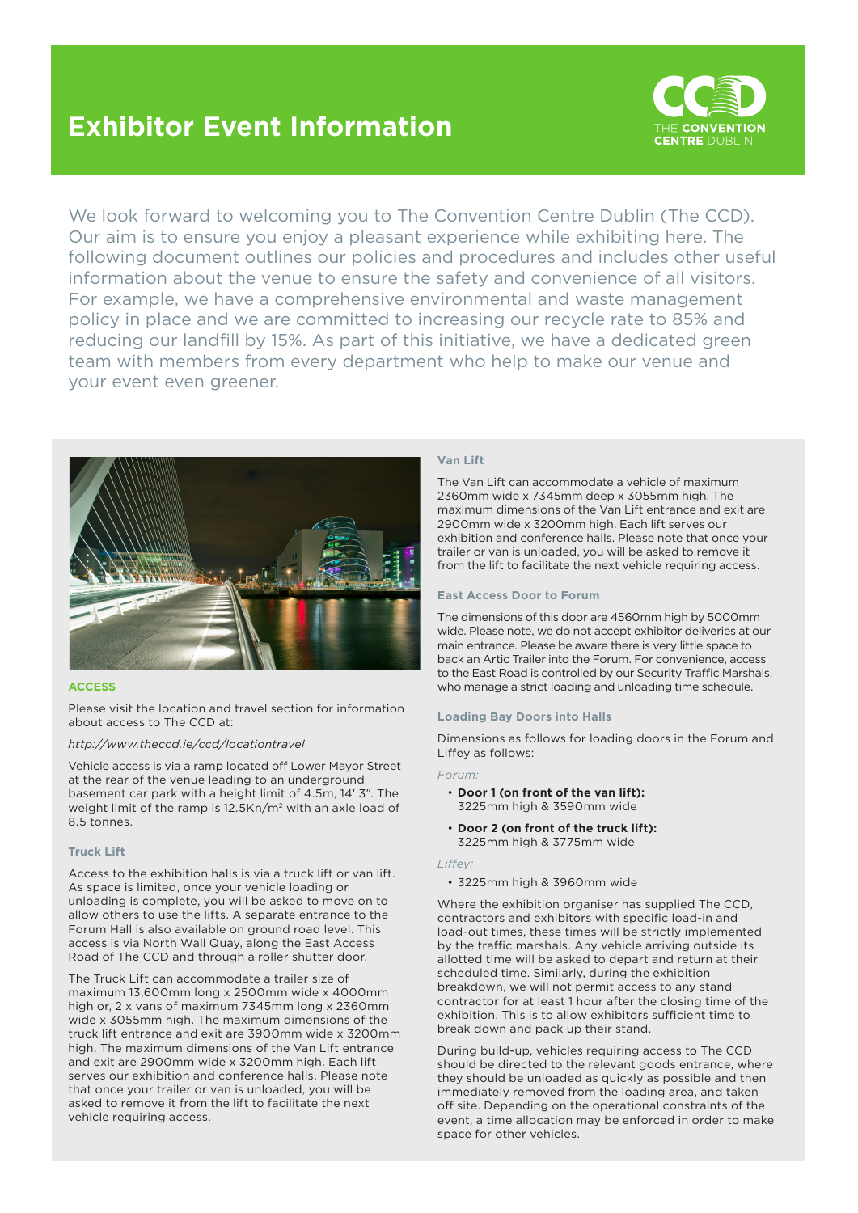# **Exhibitor Event Information**



We look forward to welcoming you to The Convention Centre Dublin (The CCD). Our aim is to ensure you enjoy a pleasant experience while exhibiting here. The following document outlines our policies and procedures and includes other useful information about the venue to ensure the safety and convenience of all visitors. For example, we have a comprehensive environmental and waste management policy in place and we are committed to increasing our recycle rate to 85% and reducing our landfill by 15%. As part of this initiative, we have a dedicated green team with members from every department who help to make our venue and your event even greener.



## **ACCESS**

Please visit the location and travel section for information about access to The CCD at:

#### *http://www.theccd.ie/ccd/locationtravel*

Vehicle access is via a ramp located off Lower Mayor Street at the rear of the venue leading to an underground basement car park with a height limit of 4.5m, 14' 3". The weight limit of the ramp is 12.5Kn/m2 with an axle load of 8.5 tonnes.

#### **Truck Lift**

Access to the exhibition halls is via a truck lift or van lift. As space is limited, once your vehicle loading or unloading is complete, you will be asked to move on to allow others to use the lifts. A separate entrance to the Forum Hall is also available on ground road level. This access is via North Wall Quay, along the East Access Road of The CCD and through a roller shutter door.

The Truck Lift can accommodate a trailer size of maximum 13,600mm long x 2500mm wide x 4000mm high or, 2 x vans of maximum 7345mm long x 2360mm wide x 3055mm high. The maximum dimensions of the truck lift entrance and exit are 3900mm wide x 3200mm high. The maximum dimensions of the Van Lift entrance and exit are 2900mm wide x 3200mm high. Each lift serves our exhibition and conference halls. Please note that once your trailer or van is unloaded, you will be asked to remove it from the lift to facilitate the next vehicle requiring access.

#### **Van Lift**

The Van Lift can accommodate a vehicle of maximum 2360mm wide x 7345mm deep x 3055mm high. The maximum dimensions of the Van Lift entrance and exit are 2900mm wide x 3200mm high. Each lift serves our exhibition and conference halls. Please note that once your trailer or van is unloaded, you will be asked to remove it from the lift to facilitate the next vehicle requiring access.

## **East Access Door to Forum**

The dimensions of this door are 4560mm high by 5000mm wide. Please note, we do not accept exhibitor deliveries at our main entrance. Please be aware there is very little space to back an Artic Trailer into the Forum. For convenience, access to the East Road is controlled by our Security Traffic Marshals, who manage a strict loading and unloading time schedule.

#### **Loading Bay Doors into Halls**

Dimensions as follows for loading doors in the Forum and Liffey as follows:

#### *Forum:*

- **Door 1 (on front of the van lift):**  3225mm high & 3590mm wide
- **Door 2 (on front of the truck lift):**  3225mm high & 3775mm wide

#### *Liffey:*

• 3225mm high & 3960mm wide

Where the exhibition organiser has supplied The CCD, contractors and exhibitors with specific load-in and load-out times, these times will be strictly implemented by the traffic marshals. Any vehicle arriving outside its allotted time will be asked to depart and return at their scheduled time. Similarly, during the exhibition breakdown, we will not permit access to any stand contractor for at least 1 hour after the closing time of the exhibition. This is to allow exhibitors sufficient time to break down and pack up their stand.

During build-up, vehicles requiring access to The CCD should be directed to the relevant goods entrance, where they should be unloaded as quickly as possible and then immediately removed from the loading area, and taken off site. Depending on the operational constraints of the event, a time allocation may be enforced in order to make space for other vehicles.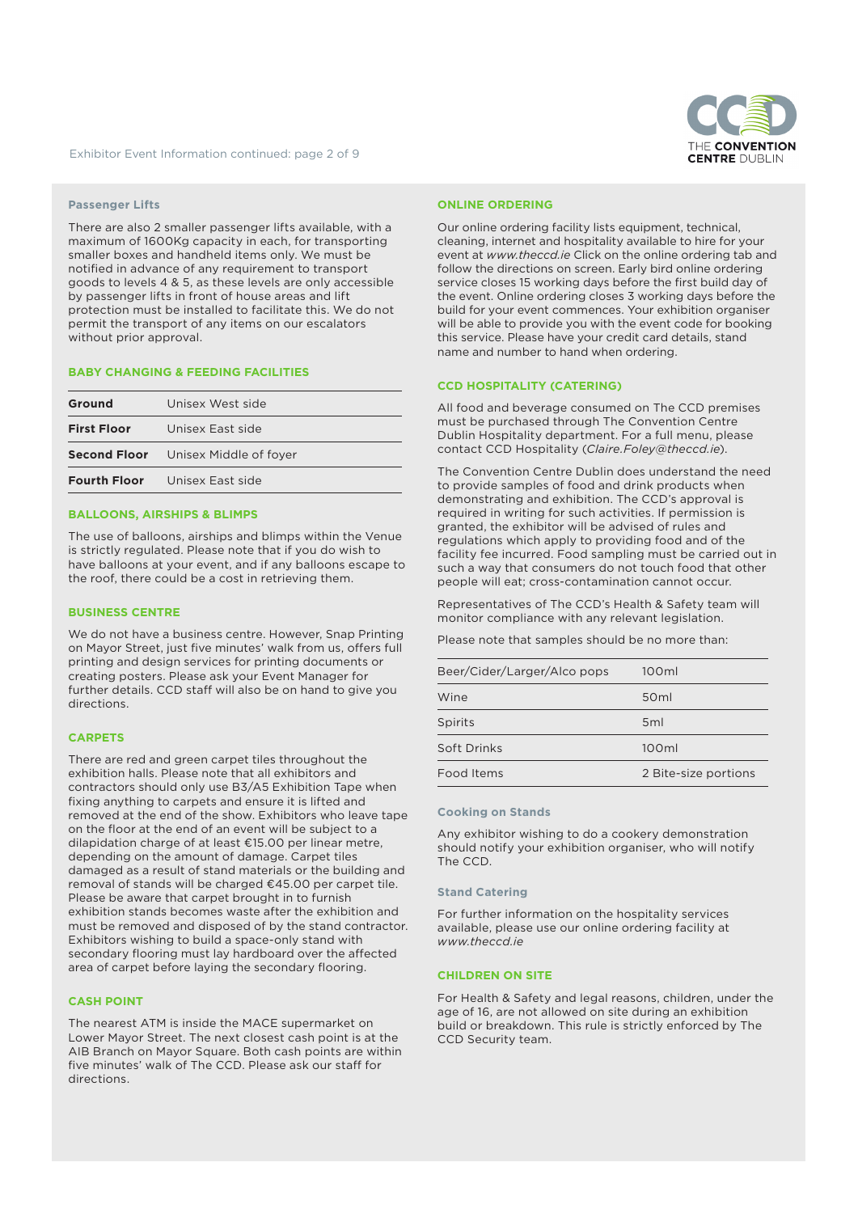

## **Passenger Lifts**

There are also 2 smaller passenger lifts available, with a maximum of 1600Kg capacity in each, for transporting smaller boxes and handheld items only. We must be notified in advance of any requirement to transport goods to levels 4 & 5, as these levels are only accessible by passenger lifts in front of house areas and lift protection must be installed to facilitate this. We do not permit the transport of any items on our escalators without prior approval.

## **BABY CHANGING & FEEDING FACILITIES**

| Ground                                     | Unisex West side                     |  |
|--------------------------------------------|--------------------------------------|--|
|                                            | <b>First Floor</b> Unisex East side  |  |
| <b>Second Floor</b> Unisex Middle of foyer |                                      |  |
|                                            | <b>Fourth Floor</b> Unisex East side |  |
|                                            |                                      |  |

# **BALLOONS, AIRSHIPS & BLIMPS**

The use of balloons, airships and blimps within the Venue is strictly regulated. Please note that if you do wish to have balloons at your event, and if any balloons escape to the roof, there could be a cost in retrieving them.

## **BUSINESS CENTRE**

We do not have a business centre. However, Snap Printing on Mayor Street, just five minutes' walk from us, offers full printing and design services for printing documents or creating posters. Please ask your Event Manager for further details. CCD staff will also be on hand to give you directions.

## **CARPETS**

There are red and green carpet tiles throughout the exhibition halls. Please note that all exhibitors and contractors should only use B3/A5 Exhibition Tape when fixing anything to carpets and ensure it is lifted and removed at the end of the show. Exhibitors who leave tape on the floor at the end of an event will be subject to a dilapidation charge of at least €15.00 per linear metre, depending on the amount of damage. Carpet tiles damaged as a result of stand materials or the building and removal of stands will be charged €45.00 per carpet tile. Please be aware that carpet brought in to furnish exhibition stands becomes waste after the exhibition and must be removed and disposed of by the stand contractor. Exhibitors wishing to build a space-only stand with secondary flooring must lay hardboard over the affected area of carpet before laying the secondary flooring.

# **CASH POINT**

The nearest ATM is inside the MACE supermarket on Lower Mayor Street. The next closest cash point is at the AIB Branch on Mayor Square. Both cash points are within five minutes' walk of The CCD. Please ask our staff for directions.

#### **ONLINE ORDERING**

Our online ordering facility lists equipment, technical, cleaning, internet and hospitality available to hire for your event at *www.theccd.ie* Click on the online ordering tab and follow the directions on screen. Early bird online ordering service closes 15 working days before the first build day of the event. Online ordering closes 3 working days before the build for your event commences. Your exhibition organiser will be able to provide you with the event code for booking this service. Please have your credit card details, stand name and number to hand when ordering.

# **CCD HOSPITALITY (CATERING)**

All food and beverage consumed on The CCD premises must be purchased through The Convention Centre Dublin Hospitality department. For a full menu, please contact CCD Hospitality (*Claire.Foley@theccd.ie*).

The Convention Centre Dublin does understand the need to provide samples of food and drink products when demonstrating and exhibition. The CCD's approval is required in writing for such activities. If permission is granted, the exhibitor will be advised of rules and regulations which apply to providing food and of the facility fee incurred. Food sampling must be carried out in such a way that consumers do not touch food that other people will eat; cross-contamination cannot occur.

Representatives of The CCD's Health & Safety team will monitor compliance with any relevant legislation.

Please note that samples should be no more than:

| Beer/Cider/Larger/Alco pops | 100ml                |
|-----------------------------|----------------------|
| Wine                        | 50 <sub>ml</sub>     |
| Spirits                     | 5 <sub>ml</sub>      |
| Soft Drinks                 | 100ml                |
| Food Items                  | 2 Bite-size portions |

#### **Cooking on Stands**

Any exhibitor wishing to do a cookery demonstration should notify your exhibition organiser, who will notify The CCD.

#### **Stand Catering**

For further information on the hospitality services available, please use our online ordering facility at *www.theccd.ie*

## **CHILDREN ON SITE**

For Health & Safety and legal reasons, children, under the age of 16, are not allowed on site during an exhibition build or breakdown. This rule is strictly enforced by The CCD Security team.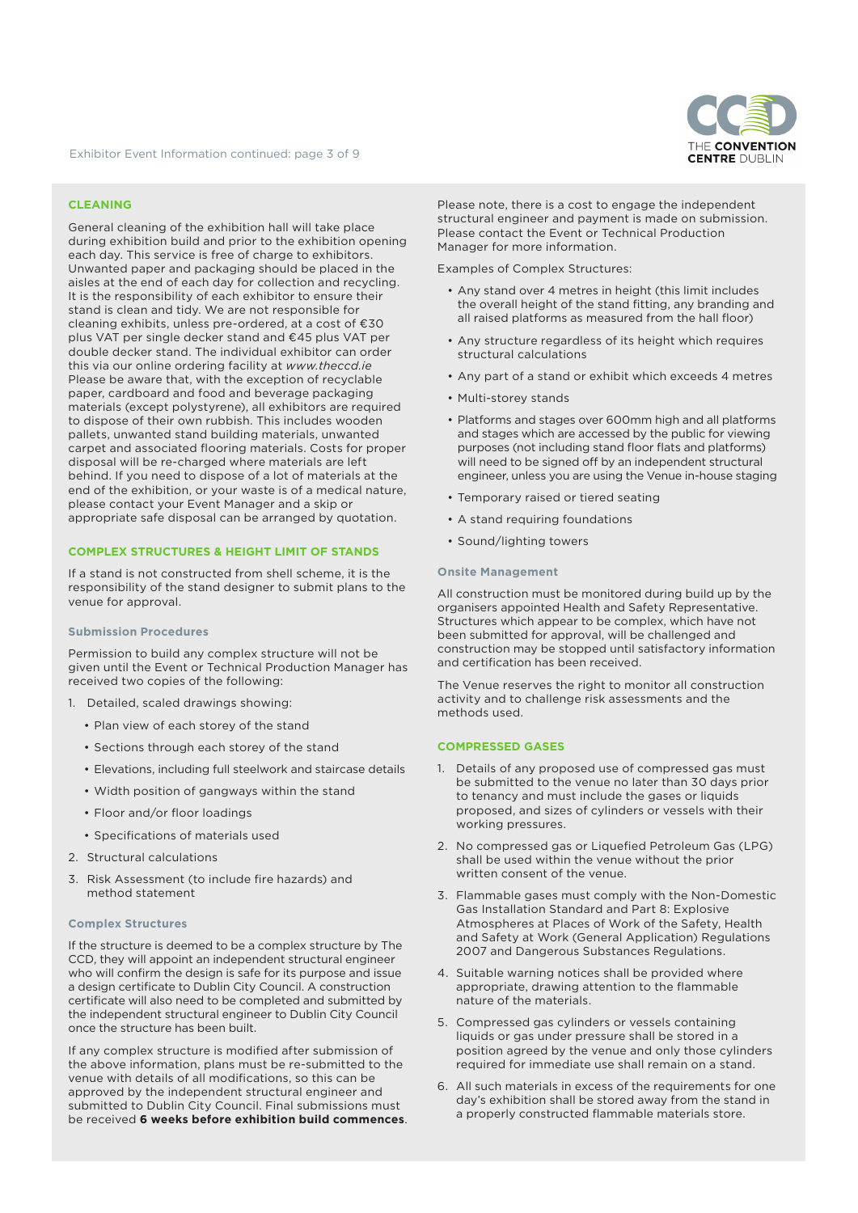

# **CLEANING**

General cleaning of the exhibition hall will take place during exhibition build and prior to the exhibition opening each day. This service is free of charge to exhibitors. Unwanted paper and packaging should be placed in the aisles at the end of each day for collection and recycling. It is the responsibility of each exhibitor to ensure their stand is clean and tidy. We are not responsible for cleaning exhibits, unless pre-ordered, at a cost of €30 plus VAT per single decker stand and €45 plus VAT per double decker stand. The individual exhibitor can order this via our online ordering facility at *www.theccd.ie* Please be aware that, with the exception of recyclable paper, cardboard and food and beverage packaging materials (except polystyrene), all exhibitors are required to dispose of their own rubbish. This includes wooden pallets, unwanted stand building materials, unwanted carpet and associated flooring materials. Costs for proper disposal will be re-charged where materials are left behind. If you need to dispose of a lot of materials at the end of the exhibition, or your waste is of a medical nature, please contact your Event Manager and a skip or appropriate safe disposal can be arranged by quotation.

#### **COMPLEX STRUCTURES & HEIGHT LIMIT OF STANDS**

If a stand is not constructed from shell scheme, it is the responsibility of the stand designer to submit plans to the venue for approval.

#### **Submission Procedures**

Permission to build any complex structure will not be given until the Event or Technical Production Manager has received two copies of the following:

- 1. Detailed, scaled drawings showing:
	- Plan view of each storey of the stand
	- Sections through each storey of the stand
	- Elevations, including full steelwork and staircase details
	- Width position of gangways within the stand
	- Floor and/or floor loadings
	- Specifications of materials used
- 2. Structural calculations
- 3. Risk Assessment (to include fire hazards) and method statement

#### **Complex Structures**

If the structure is deemed to be a complex structure by The CCD, they will appoint an independent structural engineer who will confirm the design is safe for its purpose and issue a design certificate to Dublin City Council. A construction certificate will also need to be completed and submitted by the independent structural engineer to Dublin City Council once the structure has been built.

If any complex structure is modified after submission of the above information, plans must be re-submitted to the venue with details of all modifications, so this can be approved by the independent structural engineer and submitted to Dublin City Council. Final submissions must be received **6 weeks before exhibition build commences**. Please note, there is a cost to engage the independent structural engineer and payment is made on submission. Please contact the Event or Technical Production Manager for more information.

Examples of Complex Structures:

- Any stand over 4 metres in height (this limit includes the overall height of the stand fitting, any branding and all raised platforms as measured from the hall floor)
- Any structure regardless of its height which requires structural calculations
- Any part of a stand or exhibit which exceeds 4 metres
- Multi-storey stands
- Platforms and stages over 600mm high and all platforms and stages which are accessed by the public for viewing purposes (not including stand floor flats and platforms) will need to be signed off by an independent structural engineer, unless you are using the Venue in-house staging
- Temporary raised or tiered seating
- A stand requiring foundations
- Sound/lighting towers

#### **Onsite Management**

All construction must be monitored during build up by the organisers appointed Health and Safety Representative. Structures which appear to be complex, which have not been submitted for approval, will be challenged and construction may be stopped until satisfactory information and certification has been received.

The Venue reserves the right to monitor all construction activity and to challenge risk assessments and the methods used.

#### **COMPRESSED GASES**

- 1. Details of any proposed use of compressed gas must be submitted to the venue no later than 30 days prior to tenancy and must include the gases or liquids proposed, and sizes of cylinders or vessels with their working pressures.
- 2. No compressed gas or Liquefied Petroleum Gas (LPG) shall be used within the venue without the prior written consent of the venue.
- 3. Flammable gases must comply with the Non-Domestic Gas Installation Standard and Part 8: Explosive Atmospheres at Places of Work of the Safety, Health and Safety at Work (General Application) Regulations 2007 and Dangerous Substances Regulations.
- 4. Suitable warning notices shall be provided where appropriate, drawing attention to the flammable nature of the materials.
- 5. Compressed gas cylinders or vessels containing liquids or gas under pressure shall be stored in a position agreed by the venue and only those cylinders required for immediate use shall remain on a stand.
- 6. All such materials in excess of the requirements for one day's exhibition shall be stored away from the stand in a properly constructed flammable materials store.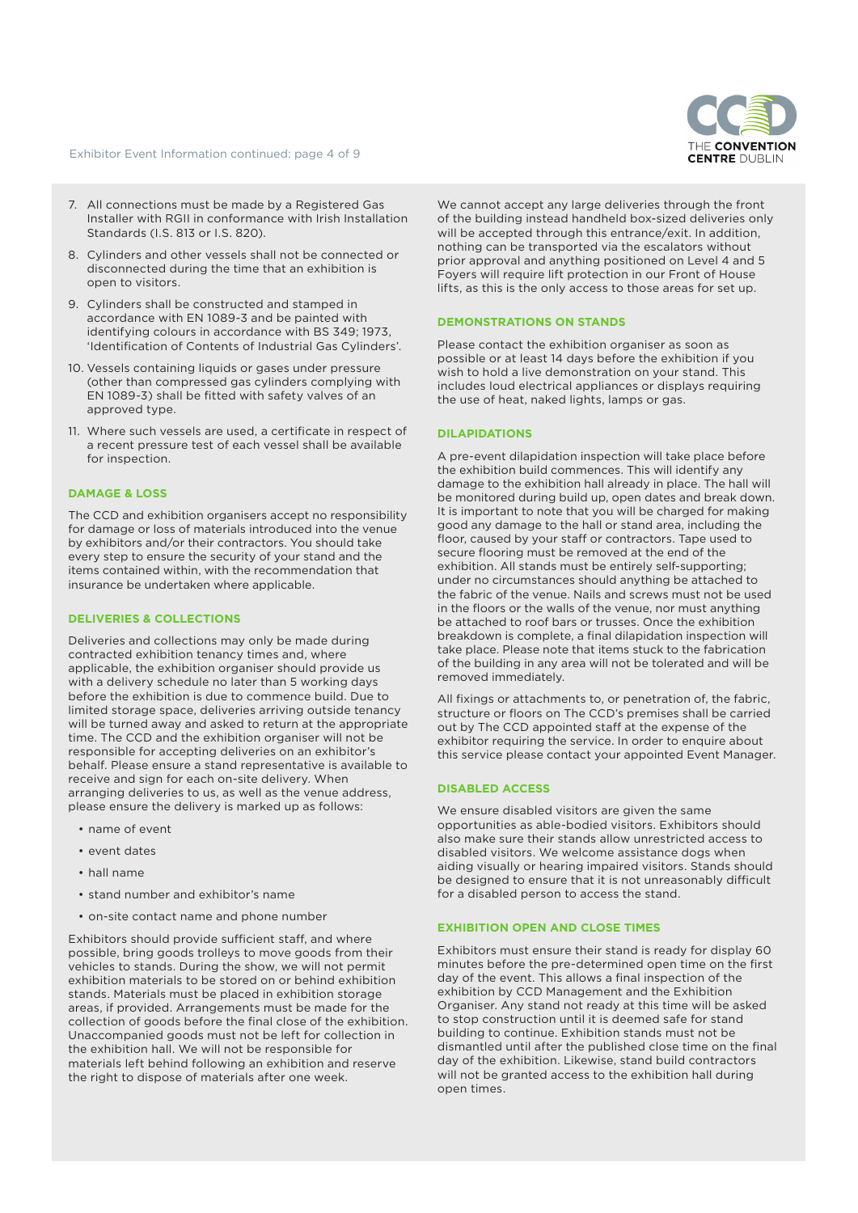Exhibitor Event Information continued: page 4 of 9



- 7. All connections must be made by a Registered Gas Installer with RGII in conformance with Irish Installation Standards (I.S. 813 or I.S. 820).
- 8. Cylinders and other vessels shall not be connected or disconnected during the time that an exhibition is open to visitors.
- 9. Cylinders shall be constructed and stamped in accordance with EN 1089-3 and be painted with identifying colours in accordance with BS 349; 1973, 'Identification of Contents of Industrial Gas Cylinders'.
- 10. Vessels containing liquids or gases under pressure (other than compressed gas cylinders complying with EN 1089-3) shall be fitted with safety valves of an approved type.
- 11. Where such vessels are used, a certificate in respect of a recent pressure test of each vessel shall be available for inspection.

## **DAMAGE & LOSS**

The CCD and exhibition organisers accept no responsibility for damage or loss of materials introduced into the venue by exhibitors and/or their contractors. You should take every step to ensure the security of your stand and the items contained within, with the recommendation that insurance be undertaken where applicable.

#### **DELIVERIES & COLLECTIONS**

Deliveries and collections may only be made during contracted exhibition tenancy times and, where applicable, the exhibition organiser should provide us with a delivery schedule no later than 5 working days before the exhibition is due to commence build. Due to limited storage space, deliveries arriving outside tenancy will be turned away and asked to return at the appropriate time. The CCD and the exhibition organiser will not be responsible for accepting deliveries on an exhibitor's behalf. Please ensure a stand representative is available to receive and sign for each on-site delivery. When arranging deliveries to us, as well as the venue address, please ensure the delivery is marked up as follows:

- name of event
- event dates
- hall name
- stand number and exhibitor's name
- on-site contact name and phone number

Exhibitors should provide sufficient staff, and where possible, bring goods trolleys to move goods from their vehicles to stands. During the show, we will not permit exhibition materials to be stored on or behind exhibition stands. Materials must be placed in exhibition storage areas, if provided. Arrangements must be made for the collection of goods before the final close of the exhibition. Unaccompanied goods must not be left for collection in the exhibition hall. We will not be responsible for materials left behind following an exhibition and reserve the right to dispose of materials after one week.

We cannot accept any large deliveries through the front of the building instead handheld box-sized deliveries only will be accepted through this entrance/exit. In addition, nothing can be transported via the escalators without prior approval and anything positioned on Level 4 and 5 Foyers will require lift protection in our Front of House lifts, as this is the only access to those areas for set up.

## **DEMONSTRATIONS ON STANDS**

Please contact the exhibition organiser as soon as possible or at least 14 days before the exhibition if you wish to hold a live demonstration on your stand. This includes loud electrical appliances or displays requiring the use of heat, naked lights, lamps or gas.

# **DILAPIDATIONS**

A pre-event dilapidation inspection will take place before the exhibition build commences. This will identify any damage to the exhibition hall already in place. The hall will be monitored during build up, open dates and break down. It is important to note that you will be charged for making good any damage to the hall or stand area, including the floor, caused by your staff or contractors. Tape used to secure flooring must be removed at the end of the exhibition. All stands must be entirely self-supporting; under no circumstances should anything be attached to the fabric of the venue. Nails and screws must not be used in the floors or the walls of the venue, nor must anything be attached to roof bars or trusses. Once the exhibition breakdown is complete, a final dilapidation inspection will take place. Please note that items stuck to the fabrication of the building in any area will not be tolerated and will be removed immediately.

All fixings or attachments to, or penetration of, the fabric, structure or floors on The CCD's premises shall be carried out by The CCD appointed staff at the expense of the exhibitor requiring the service. In order to enquire about this service please contact your appointed Event Manager.

# **DISABLED ACCESS**

We ensure disabled visitors are given the same opportunities as able-bodied visitors. Exhibitors should also make sure their stands allow unrestricted access to disabled visitors. We welcome assistance dogs when aiding visually or hearing impaired visitors. Stands should be designed to ensure that it is not unreasonably difficult for a disabled person to access the stand.

## **EXHIBITION OPEN AND CLOSE TIMES**

Exhibitors must ensure their stand is ready for display 60 minutes before the pre-determined open time on the first day of the event. This allows a final inspection of the exhibition by CCD Management and the Exhibition Organiser. Any stand not ready at this time will be asked to stop construction until it is deemed safe for stand building to continue. Exhibition stands must not be dismantled until after the published close time on the final day of the exhibition. Likewise, stand build contractors will not be granted access to the exhibition hall during open times.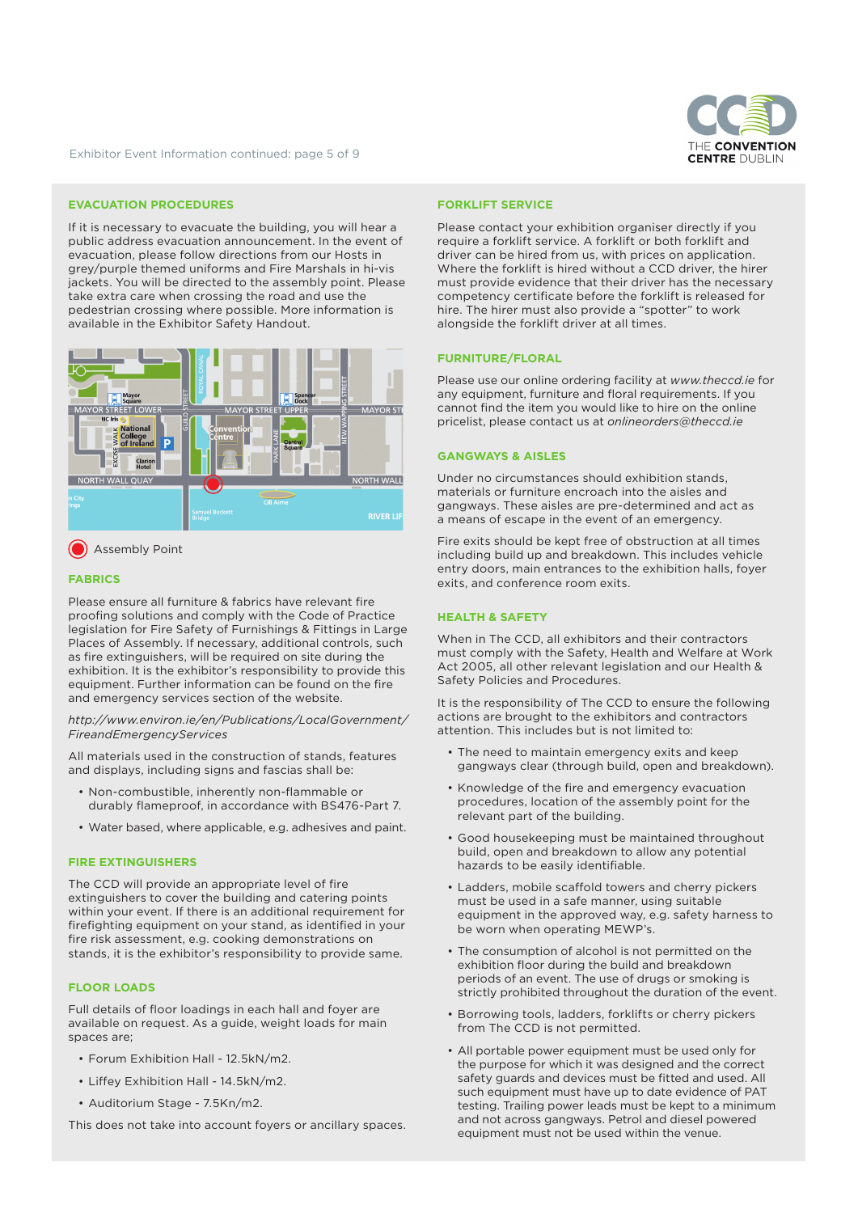

Exhibitor Event Information continued: page 5 of 9

## **EVACUATION PROCEDURES**

If it is necessary to evacuate the building, you will hear a public address evacuation announcement. In the event of evacuation, please follow directions from our Hosts in grey/purple themed uniforms and Fire Marshals in hi-vis jackets. You will be directed to the assembly point. Please take extra care when crossing the road and use the pedestrian crossing where possible. More information is available in the Exhibitor Safety Handout.



**Assembly Point** 

# **FABRICS**

Please ensure all furniture & fabrics have relevant fire proofing solutions and comply with the Code of Practice legislation for Fire Safety of Furnishings & Fittings in Large Places of Assembly. If necessary, additional controls, such as fire extinguishers, will be required on site during the exhibition. It is the exhibitor's responsibility to provide this equipment. Further information can be found on the fire and emergency services section of the website.

*http://www.environ.ie/en/Publications/LocalGovernment/ FireandEmergencyServices*

All materials used in the construction of stands, features and displays, including signs and fascias shall be:

- Non-combustible, inherently non-flammable or durably flameproof, in accordance with BS476-Part 7.
- Water based, where applicable, e.g. adhesives and paint.

## **FIRE EXTINGUISHERS**

The CCD will provide an appropriate level of fire extinguishers to cover the building and catering points within your event. If there is an additional requirement for firefighting equipment on your stand, as identified in your fire risk assessment, e.g. cooking demonstrations on stands, it is the exhibitor's responsibility to provide same.

## **FLOOR LOADS**

Full details of floor loadings in each hall and foyer are available on request. As a guide, weight loads for main spaces are;

- Forum Exhibition Hall 12.5kN/m2.
- Liffey Exhibition Hall 14.5kN/m2.
- Auditorium Stage 7.5Kn/m2.

This does not take into account foyers or ancillary spaces.

#### **FORKLIFT SERVICE**

Please contact your exhibition organiser directly if you require a forklift service. A forklift or both forklift and driver can be hired from us, with prices on application. Where the forklift is hired without a CCD driver, the hirer must provide evidence that their driver has the necessary competency certificate before the forklift is released for hire. The hirer must also provide a "spotter" to work alongside the forklift driver at all times.

#### **FURNITURE/FLORAL**

Please use our online ordering facility at *www.theccd.ie* for any equipment, furniture and floral requirements. If you cannot find the item you would like to hire on the online pricelist, please contact us at *onlineorders@theccd.ie*

#### **GANGWAYS & AISLES**

Under no circumstances should exhibition stands, materials or furniture encroach into the aisles and gangways. These aisles are pre-determined and act as a means of escape in the event of an emergency.

Fire exits should be kept free of obstruction at all times including build up and breakdown. This includes vehicle entry doors, main entrances to the exhibition halls, foyer exits, and conference room exits.

#### **HEALTH & SAFETY**

When in The CCD, all exhibitors and their contractors must comply with the Safety, Health and Welfare at Work Act 2005, all other relevant legislation and our Health & Safety Policies and Procedures.

It is the responsibility of The CCD to ensure the following actions are brought to the exhibitors and contractors attention. This includes but is not limited to:

- The need to maintain emergency exits and keep gangways clear (through build, open and breakdown).
- Knowledge of the fire and emergency evacuation procedures, location of the assembly point for the relevant part of the building.
- Good housekeeping must be maintained throughout build, open and breakdown to allow any potential hazards to be easily identifiable.
- Ladders, mobile scaffold towers and cherry pickers must be used in a safe manner, using suitable equipment in the approved way, e.g. safety harness to be worn when operating MEWP's.
- The consumption of alcohol is not permitted on the exhibition floor during the build and breakdown periods of an event. The use of drugs or smoking is strictly prohibited throughout the duration of the event.
- Borrowing tools, ladders, forklifts or cherry pickers from The CCD is not permitted.
- All portable power equipment must be used only for the purpose for which it was designed and the correct safety guards and devices must be fitted and used. All such equipment must have up to date evidence of PAT testing. Trailing power leads must be kept to a minimum and not across gangways. Petrol and diesel powered equipment must not be used within the venue.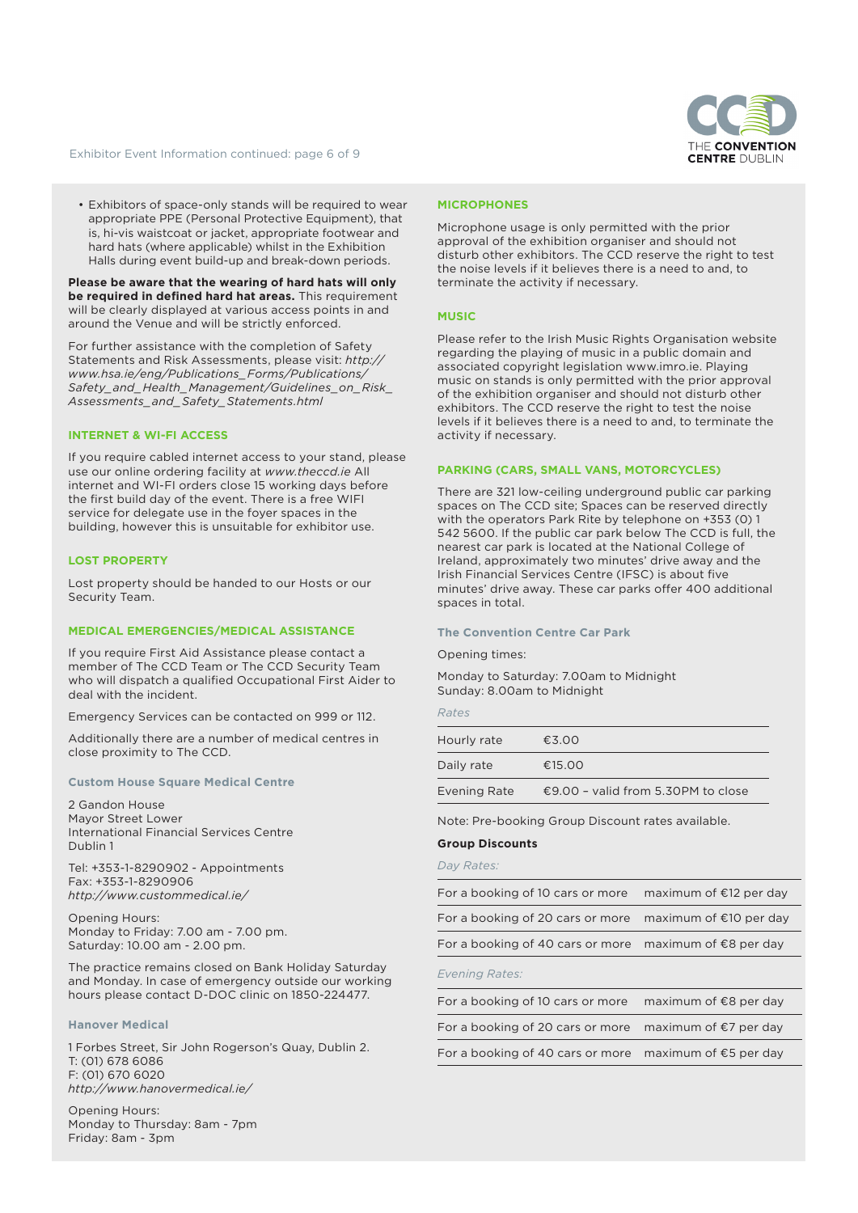

Exhibitor Event Information continued: page 6 of 9

• Exhibitors of space-only stands will be required to wear appropriate PPE (Personal Protective Equipment), that is, hi-vis waistcoat or jacket, appropriate footwear and hard hats (where applicable) whilst in the Exhibition Halls during event build-up and break-down periods.

**Please be aware that the wearing of hard hats will only be required in defined hard hat areas.** This requirement will be clearly displayed at various access points in and around the Venue and will be strictly enforced.

For further assistance with the completion of Safety Statements and Risk Assessments, please visit: *http:// www.hsa.ie/eng/Publications\_Forms/Publications/ Safety\_and\_Health\_Management/Guidelines\_on\_Risk\_ Assessments\_and\_Safety\_Statements.html*

## **INTERNET & WI-FI ACCESS**

If you require cabled internet access to your stand, please use our online ordering facility at *www.theccd.ie* All internet and WI-FI orders close 15 working days before the first build day of the event. There is a free WIFI service for delegate use in the foyer spaces in the building, however this is unsuitable for exhibitor use.

# **LOST PROPERTY**

Lost property should be handed to our Hosts or our Security Team.

## **MEDICAL EMERGENCIES/MEDICAL ASSISTANCE**

If you require First Aid Assistance please contact a member of The CCD Team or The CCD Security Team who will dispatch a qualified Occupational First Aider to deal with the incident.

Emergency Services can be contacted on 999 or 112.

Additionally there are a number of medical centres in close proximity to The CCD.

# **Custom House Square Medical Centre**

2 Gandon House Mayor Street Lower International Financial Services Centre Dublin 1

Tel: +353-1-8290902 - Appointments Fax: +353-1-8290906 *http://www.custommedical.ie/*

Opening Hours: Monday to Friday: 7.00 am - 7.00 pm. Saturday: 10.00 am - 2.00 pm.

The practice remains closed on Bank Holiday Saturday and Monday. In case of emergency outside our working hours please contact D-DOC clinic on 1850-224477.

## **Hanover Medical**

1 Forbes Street, Sir John Rogerson's Quay, Dublin 2. T: (01) 678 6086 F: (01) 670 6020 *http://www.hanovermedical.ie/*

Opening Hours: Monday to Thursday: 8am - 7pm Friday: 8am - 3pm

#### **MICROPHONES**

Microphone usage is only permitted with the prior approval of the exhibition organiser and should not disturb other exhibitors. The CCD reserve the right to test the noise levels if it believes there is a need to and, to terminate the activity if necessary.

## **MUSIC**

Please refer to the Irish Music Rights Organisation website regarding the playing of music in a public domain and associated copyright legislation www.imro.ie. Playing music on stands is only permitted with the prior approval of the exhibition organiser and should not disturb other exhibitors. The CCD reserve the right to test the noise levels if it believes there is a need to and, to terminate the activity if necessary.

## **PARKING (CARS, SMALL VANS, MOTORCYCLES)**

There are 321 low-ceiling underground public car parking spaces on The CCD site; Spaces can be reserved directly with the operators Park Rite by telephone on +353 (0) 1 542 5600. If the public car park below The CCD is full, the nearest car park is located at the National College of Ireland, approximately two minutes' drive away and the Irish Financial Services Centre (IFSC) is about five minutes' drive away. These car parks offer 400 additional spaces in total.

## **The Convention Centre Car Park**

#### Opening times:

Monday to Saturday: 7.00am to Midnight Sunday: 8.00am to Midnight

| Hourly rate  | €3.00                              |
|--------------|------------------------------------|
| Daily rate   | €15.00                             |
| Evening Rate | €9.00 - valid from 5.30PM to close |

Note: Pre-booking Group Discount rates available.

## **Group Discounts**

# *Day Rates:*

| For a booking of 10 cars or more                                  | maximum of $E12$ per day |
|-------------------------------------------------------------------|--------------------------|
| For a booking of 20 cars or more maximum of $\epsilon$ 10 per day |                          |
| For a booking of 40 cars or more maximum of $\epsilon$ 8 per day  |                          |

#### *Evening Rates:*

| For a booking of 10 cars or more                                 | maximum of €8 per day |
|------------------------------------------------------------------|-----------------------|
| For a booking of 20 cars or more maximum of $\epsilon$ 7 per day |                       |
| For a booking of 40 cars or more maximum of $\epsilon$ 5 per day |                       |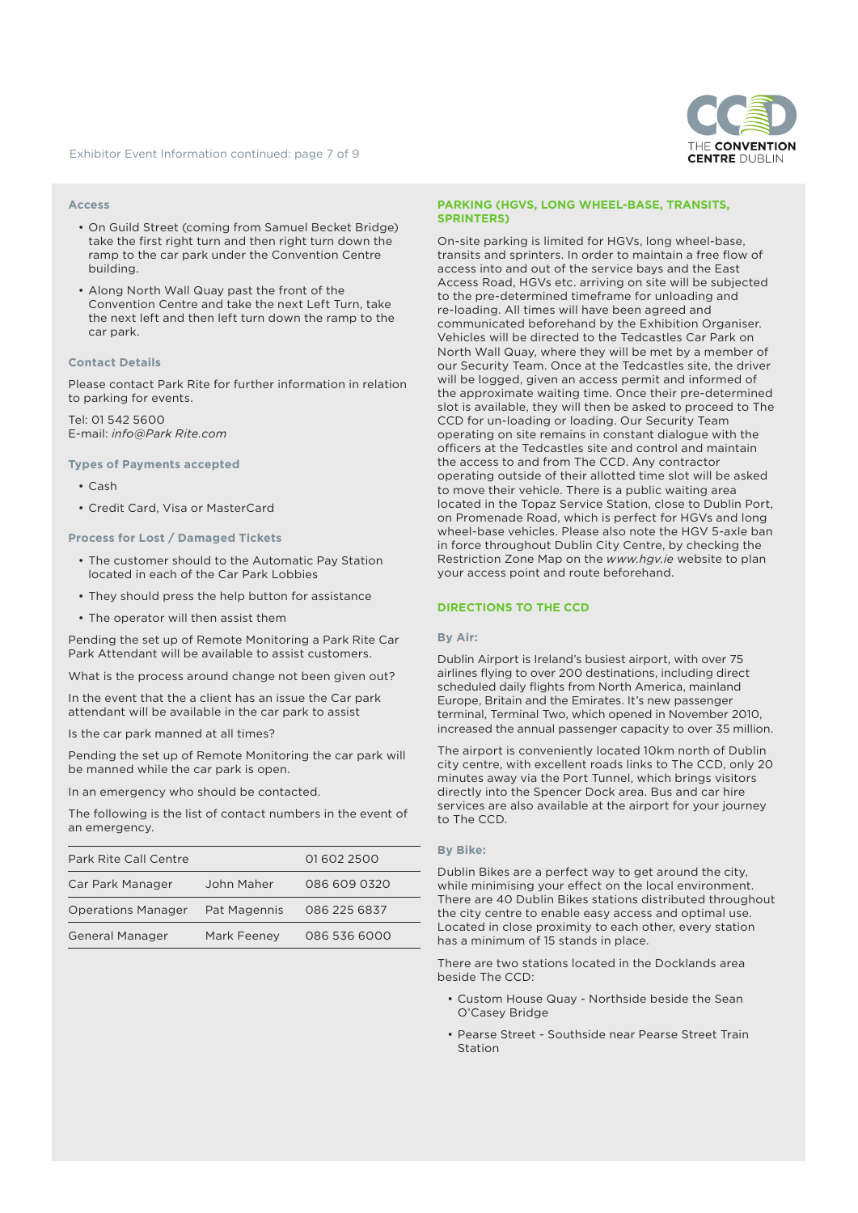

#### **Access**

- On Guild Street (coming from Samuel Becket Bridge) take the first right turn and then right turn down the ramp to the car park under the Convention Centre building.
- Along North Wall Quay past the front of the Convention Centre and take the next Left Turn, take the next left and then left turn down the ramp to the car park.

#### **Contact Details**

Please contact Park Rite for further information in relation to parking for events.

Tel: 01 542 5600 E-mail: *info@Park Rite.com*

# **Types of Payments accepted**

- Cash
- Credit Card, Visa or MasterCard

#### **Process for Lost / Damaged Tickets**

- The customer should to the Automatic Pay Station located in each of the Car Park Lobbies
- They should press the help button for assistance
- The operator will then assist them

Pending the set up of Remote Monitoring a Park Rite Car Park Attendant will be available to assist customers.

What is the process around change not been given out?

In the event that the a client has an issue the Car park attendant will be available in the car park to assist

Is the car park manned at all times?

Pending the set up of Remote Monitoring the car park will be manned while the car park is open.

In an emergency who should be contacted.

The following is the list of contact numbers in the event of an emergency.

| <b>Park Rite Call Centre</b> |              | 016022500    |
|------------------------------|--------------|--------------|
| Car Park Manager             | John Maher   | 086 609 0320 |
| <b>Operations Manager</b>    | Pat Magennis | 086 225 6837 |
| <b>General Manager</b>       | Mark Feeney  | 086 536 6000 |

#### **PARKING (HGVS, LONG WHEEL-BASE, TRANSITS, SPRINTERS)**

On-site parking is limited for HGVs, long wheel-base, transits and sprinters. In order to maintain a free flow of access into and out of the service bays and the East Access Road, HGVs etc. arriving on site will be subjected to the pre-determined timeframe for unloading and re-loading. All times will have been agreed and communicated beforehand by the Exhibition Organiser. Vehicles will be directed to the Tedcastles Car Park on North Wall Quay, where they will be met by a member of our Security Team. Once at the Tedcastles site, the driver will be logged, given an access permit and informed of the approximate waiting time. Once their pre-determined slot is available, they will then be asked to proceed to The CCD for un-loading or loading. Our Security Team operating on site remains in constant dialogue with the officers at the Tedcastles site and control and maintain the access to and from The CCD. Any contractor operating outside of their allotted time slot will be asked to move their vehicle. There is a public waiting area located in the Topaz Service Station, close to Dublin Port, on Promenade Road, which is perfect for HGVs and long wheel-base vehicles. Please also note the HGV 5-axle ban in force throughout Dublin City Centre, by checking the Restriction Zone Map on the *www.hgv.ie* website to plan your access point and route beforehand.

## **DIRECTIONS TO THE CCD**

#### **By Air:**

Dublin Airport is Ireland's busiest airport, with over 75 airlines flying to over 200 destinations, including direct scheduled daily flights from North America, mainland Europe, Britain and the Emirates. It's new passenger terminal, Terminal Two, which opened in November 2010, increased the annual passenger capacity to over 35 million.

The airport is conveniently located 10km north of Dublin city centre, with excellent roads links to The CCD, only 20 minutes away via the Port Tunnel, which brings visitors directly into the Spencer Dock area. Bus and car hire services are also available at the airport for your journey to The CCD.

## **By Bike:**

Dublin Bikes are a perfect way to get around the city, while minimising your effect on the local environment. There are 40 Dublin Bikes stations distributed throughout the city centre to enable easy access and optimal use. Located in close proximity to each other, every station has a minimum of 15 stands in place.

There are two stations located in the Docklands area beside The CCD:

- Custom House Quay Northside beside the Sean O'Casey Bridge
- Pearse Street Southside near Pearse Street Train Station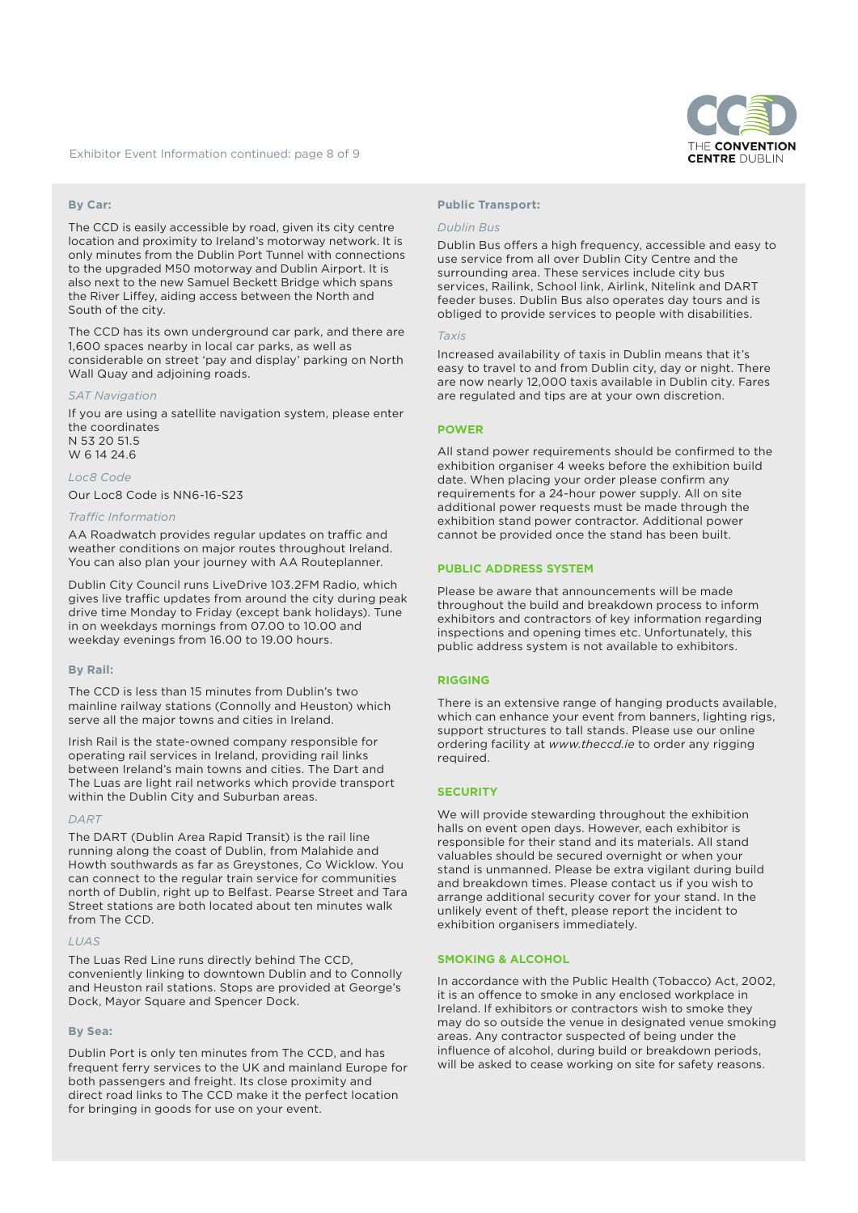

## **By Car:**

The CCD is easily accessible by road, given its city centre location and proximity to Ireland's motorway network. It is only minutes from the Dublin Port Tunnel with connections to the upgraded M50 motorway and Dublin Airport. It is also next to the new Samuel Beckett Bridge which spans the River Liffey, aiding access between the North and South of the city.

The CCD has its own underground car park, and there are 1,600 spaces nearby in local car parks, as well as considerable on street 'pay and display' parking on North Wall Quay and adjoining roads.

#### **AT Navigation**

If you are using a satellite navigation system, please enter the coordinates N 53 20 51.5 W 6 14 24 6

# *Loc8 Code*

Our Loc8 Code is NN6-16-S23

#### *Traffic Information*

AA Roadwatch provides regular updates on traffic and weather conditions on major routes throughout Ireland. You can also plan your journey with AA Routeplanner.

Dublin City Council runs LiveDrive 103.2FM Radio, which gives live traffic updates from around the city during peak drive time Monday to Friday (except bank holidays). Tune in on weekdays mornings from 07.00 to 10.00 and weekday evenings from 16.00 to 19.00 hours.

#### **By Rail:**

The CCD is less than 15 minutes from Dublin's two mainline railway stations (Connolly and Heuston) which serve all the major towns and cities in Ireland.

Irish Rail is the state-owned company responsible for operating rail services in Ireland, providing rail links between Ireland's main towns and cities. The Dart and The Luas are light rail networks which provide transport within the Dublin City and Suburban areas.

#### *DART*

The DART (Dublin Area Rapid Transit) is the rail line running along the coast of Dublin, from Malahide and Howth southwards as far as Greystones, Co Wicklow. You can connect to the regular train service for communities north of Dublin, right up to Belfast. Pearse Street and Tara Street stations are both located about ten minutes walk from The CCD.

## *LUAS*

The Luas Red Line runs directly behind The CCD, conveniently linking to downtown Dublin and to Connolly and Heuston rail stations. Stops are provided at George's Dock, Mayor Square and Spencer Dock.

## **By Sea:**

Dublin Port is only ten minutes from The CCD, and has frequent ferry services to the UK and mainland Europe for both passengers and freight. Its close proximity and direct road links to The CCD make it the perfect location for bringing in goods for use on your event.

## **Public Transport:**

#### *Dublin Bus*

Dublin Bus offers a high frequency, accessible and easy to use service from all over Dublin City Centre and the surrounding area. These services include city bus services, Railink, School link, Airlink, Nitelink and DART feeder buses. Dublin Bus also operates day tours and is obliged to provide services to people with disabilities.

## *Taxis*

Increased availability of taxis in Dublin means that it's easy to travel to and from Dublin city, day or night. There are now nearly 12,000 taxis available in Dublin city. Fares are regulated and tips are at your own discretion.

## **POWER**

All stand power requirements should be confirmed to the exhibition organiser 4 weeks before the exhibition build date. When placing your order please confirm any requirements for a 24-hour power supply. All on site additional power requests must be made through the exhibition stand power contractor. Additional power cannot be provided once the stand has been built.

#### **PUBLIC ADDRESS SYSTEM**

Please be aware that announcements will be made throughout the build and breakdown process to inform exhibitors and contractors of key information regarding inspections and opening times etc. Unfortunately, this public address system is not available to exhibitors.

## **RIGGING**

There is an extensive range of hanging products available, which can enhance your event from banners, lighting rigs, support structures to tall stands. Please use our online ordering facility at *www.theccd.ie* to order any rigging required.

## **SECURITY**

We will provide stewarding throughout the exhibition halls on event open days. However, each exhibitor is responsible for their stand and its materials. All stand valuables should be secured overnight or when your stand is unmanned. Please be extra vigilant during build and breakdown times. Please contact us if you wish to arrange additional security cover for your stand. In the unlikely event of theft, please report the incident to exhibition organisers immediately.

# **SMOKING & ALCOHOL**

In accordance with the Public Health (Tobacco) Act, 2002, it is an offence to smoke in any enclosed workplace in Ireland. If exhibitors or contractors wish to smoke they may do so outside the venue in designated venue smoking areas. Any contractor suspected of being under the influence of alcohol, during build or breakdown periods, will be asked to cease working on site for safety reasons.